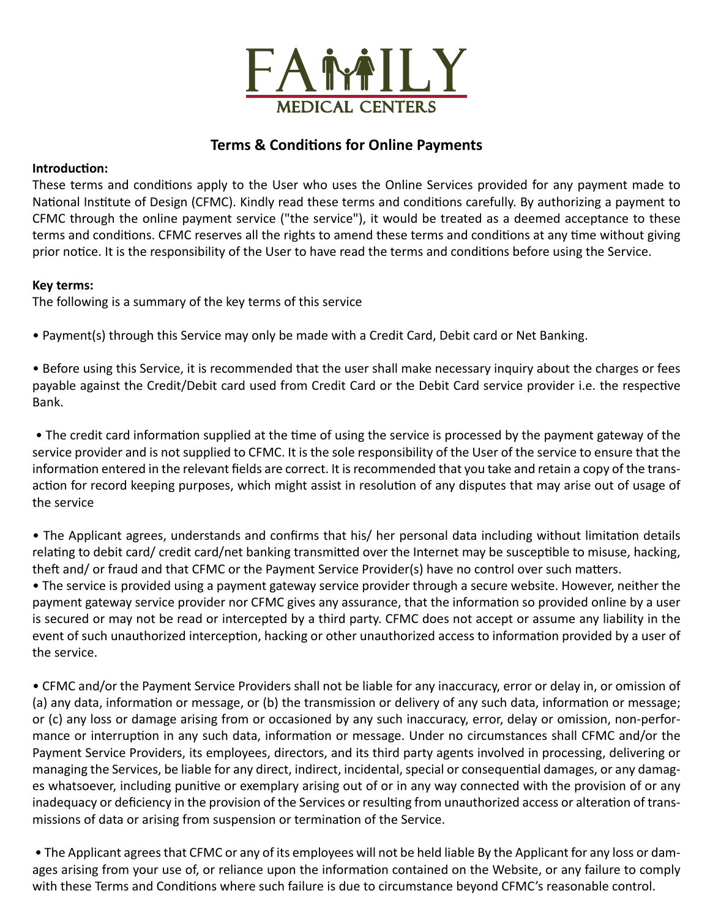

# **Terms & Conditions for Online Payments**

## **Introduction:**

These terms and conditions apply to the User who uses the Online Services provided for any payment made to National Institute of Design (CFMC). Kindly read these terms and conditions carefully. By authorizing a payment to CFMC through the online payment service ("the service"), it would be treated as a deemed acceptance to these terms and conditions. CFMC reserves all the rights to amend these terms and conditions at any time without giving prior notice. It is the responsibility of the User to have read the terms and conditions before using the Service.

## **Key terms:**

The following is a summary of the key terms of this service

• Payment(s) through this Service may only be made with a Credit Card, Debit card or Net Banking.

• Before using this Service, it is recommended that the user shall make necessary inquiry about the charges or fees payable against the Credit/Debit card used from Credit Card or the Debit Card service provider i.e. the respective Bank.

• The credit card information supplied at the time of using the service is processed by the payment gateway of the service provider and is not supplied to CFMC. It is the sole responsibility of the User of the service to ensure that the information entered in the relevant fields are correct. It is recommended that you take and retain a copy of the transaction for record keeping purposes, which might assist in resolution of any disputes that may arise out of usage of the service

• The Applicant agrees, understands and confirms that his/ her personal data including without limitation details relating to debit card/ credit card/net banking transmitted over the Internet may be susceptible to misuse, hacking, theft and/ or fraud and that CFMC or the Payment Service Provider(s) have no control over such matters.

• The service is provided using a payment gateway service provider through a secure website. However, neither the payment gateway service provider nor CFMC gives any assurance, that the information so provided online by a user is secured or may not be read or intercepted by a third party. CFMC does not accept or assume any liability in the event of such unauthorized interception, hacking or other unauthorized access to information provided by a user of the service.

• CFMC and/or the Payment Service Providers shall not be liable for any inaccuracy, error or delay in, or omission of (a) any data, information or message, or (b) the transmission or delivery of any such data, information or message; or (c) any loss or damage arising from or occasioned by any such inaccuracy, error, delay or omission, non-performance or interruption in any such data, information or message. Under no circumstances shall CFMC and/or the Payment Service Providers, its employees, directors, and its third party agents involved in processing, delivering or managing the Services, be liable for any direct, indirect, incidental, special or consequential damages, or any damages whatsoever, including punitive or exemplary arising out of or in any way connected with the provision of or any inadequacy or deficiency in the provision of the Services or resulting from unauthorized access or alteration of transmissions of data or arising from suspension or termination of the Service.

 • The Applicant agrees that CFMC or any of its employees will not be held liable By the Applicant for any loss or damages arising from your use of, or reliance upon the information contained on the Website, or any failure to comply with these Terms and Conditions where such failure is due to circumstance beyond CFMC's reasonable control.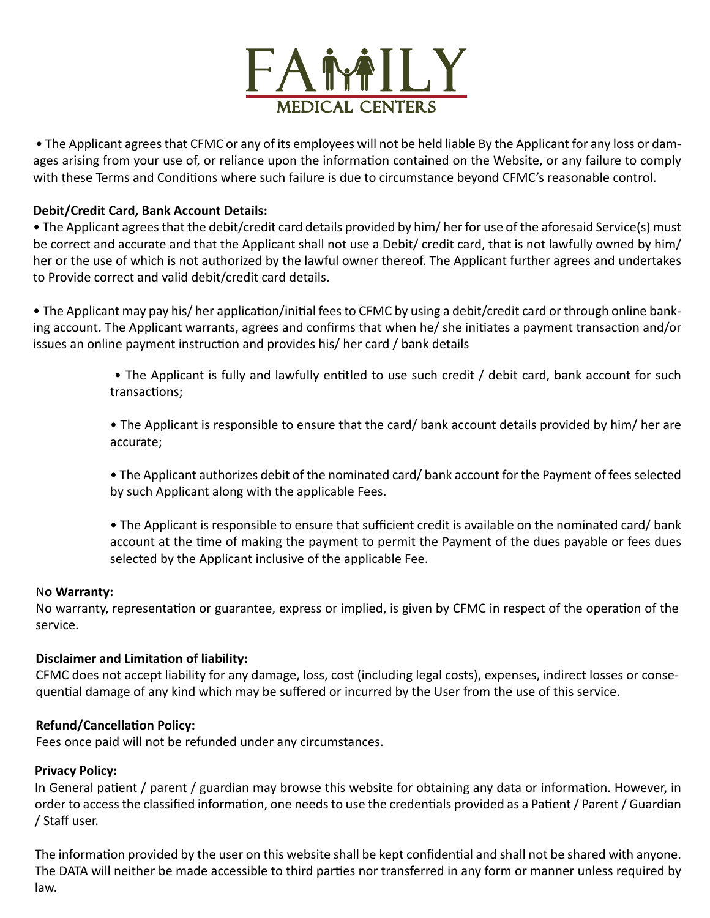

 • The Applicant agrees that CFMC or any of its employees will not be held liable By the Applicant for any loss or damages arising from your use of, or reliance upon the information contained on the Website, or any failure to comply with these Terms and Conditions where such failure is due to circumstance beyond CFMC's reasonable control.

## **Debit/Credit Card, Bank Account Details:**

• The Applicant agrees that the debit/credit card details provided by him/ her for use of the aforesaid Service(s) must be correct and accurate and that the Applicant shall not use a Debit/ credit card, that is not lawfully owned by him/ her or the use of which is not authorized by the lawful owner thereof. The Applicant further agrees and undertakes to Provide correct and valid debit/credit card details.

• The Applicant may pay his/ her application/initial fees to CFMC by using a debit/credit card or through online banking account. The Applicant warrants, agrees and confirms that when he/ she initiates a payment transaction and/or issues an online payment instruction and provides his/ her card / bank details

- The Applicant is fully and lawfully entitled to use such credit / debit card, bank account for such transactions;
- The Applicant is responsible to ensure that the card/ bank account details provided by him/ her are accurate;
- The Applicant authorizes debit of the nominated card/ bank account for the Payment of fees selected by such Applicant along with the applicable Fees.
- The Applicant is responsible to ensure that sufficient credit is available on the nominated card/ bank account at the time of making the payment to permit the Payment of the dues payable or fees dues selected by the Applicant inclusive of the applicable Fee.

#### N**o Warranty:**

No warranty, representation or guarantee, express or implied, is given by CFMC in respect of the operation of the service.

#### **Disclaimer and Limitation of liability:**

CFMC does not accept liability for any damage, loss, cost (including legal costs), expenses, indirect losses or consequential damage of any kind which may be suffered or incurred by the User from the use of this service.

#### **Refund/Cancellation Policy:**

Fees once paid will not be refunded under any circumstances.

#### **Privacy Policy:**

In General patient / parent / guardian may browse this website for obtaining any data or information. However, in order to access the classified information, one needs to use the credentials provided as a Patient / Parent / Guardian / Staff user.

The information provided by the user on this website shall be kept confidential and shall not be shared with anyone. The DATA will neither be made accessible to third parties nor transferred in any form or manner unless required by law.